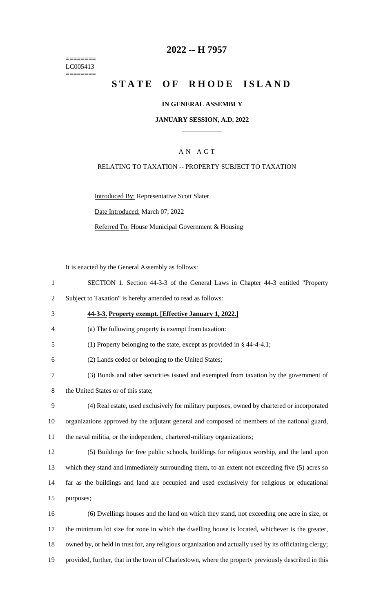======== LC005413 ========

## **2022 -- H 7957**

# **STATE OF RHODE ISLAND**

## **IN GENERAL ASSEMBLY**

## **JANUARY SESSION, A.D. 2022 \_\_\_\_\_\_\_\_\_\_\_\_**

## A N A C T

## RELATING TO TAXATION -- PROPERTY SUBJECT TO TAXATION

Introduced By: Representative Scott Slater

Date Introduced: March 07, 2022

Referred To: House Municipal Government & Housing

It is enacted by the General Assembly as follows:

- 1 SECTION 1. Section 44-3-3 of the General Laws in Chapter 44-3 entitled "Property
- 2 Subject to Taxation" is hereby amended to read as follows:
- 3 **44-3-3. Property exempt. [Effective January 1, 2022.]**
- 4 (a) The following property is exempt from taxation:
- 5 (1) Property belonging to the state, except as provided in § 44-4-4.1;
- 6 (2) Lands ceded or belonging to the United States;
- 7 (3) Bonds and other securities issued and exempted from taxation by the government of
- 8 the United States or of this state;
- 9 (4) Real estate, used exclusively for military purposes, owned by chartered or incorporated 10 organizations approved by the adjutant general and composed of members of the national guard,
- 11 the naval militia, or the independent, chartered-military organizations;
- 12 (5) Buildings for free public schools, buildings for religious worship, and the land upon 13 which they stand and immediately surrounding them, to an extent not exceeding five (5) acres so 14 far as the buildings and land are occupied and used exclusively for religious or educational 15 purposes;
- 16 (6) Dwellings houses and the land on which they stand, not exceeding one acre in size, or 17 the minimum lot size for zone in which the dwelling house is located, whichever is the greater, 18 owned by, or held in trust for, any religious organization and actually used by its officiating clergy; 19 provided, further, that in the town of Charlestown, where the property previously described in this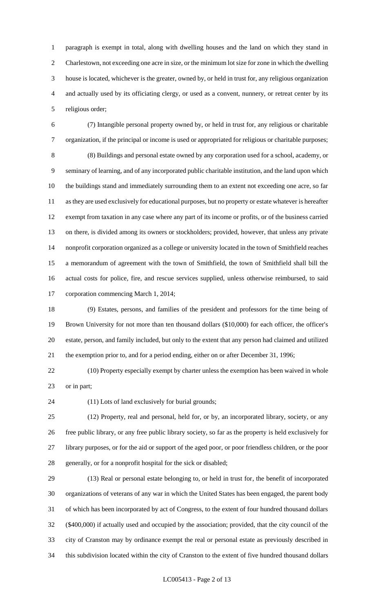paragraph is exempt in total, along with dwelling houses and the land on which they stand in Charlestown, not exceeding one acre in size, or the minimum lot size for zone in which the dwelling house is located, whichever is the greater, owned by, or held in trust for, any religious organization and actually used by its officiating clergy, or used as a convent, nunnery, or retreat center by its religious order;

 (7) Intangible personal property owned by, or held in trust for, any religious or charitable organization, if the principal or income is used or appropriated for religious or charitable purposes; (8) Buildings and personal estate owned by any corporation used for a school, academy, or seminary of learning, and of any incorporated public charitable institution, and the land upon which the buildings stand and immediately surrounding them to an extent not exceeding one acre, so far as they are used exclusively for educational purposes, but no property or estate whatever is hereafter exempt from taxation in any case where any part of its income or profits, or of the business carried on there, is divided among its owners or stockholders; provided, however, that unless any private nonprofit corporation organized as a college or university located in the town of Smithfield reaches a memorandum of agreement with the town of Smithfield, the town of Smithfield shall bill the actual costs for police, fire, and rescue services supplied, unless otherwise reimbursed, to said corporation commencing March 1, 2014;

 (9) Estates, persons, and families of the president and professors for the time being of Brown University for not more than ten thousand dollars (\$10,000) for each officer, the officer's estate, person, and family included, but only to the extent that any person had claimed and utilized the exemption prior to, and for a period ending, either on or after December 31, 1996;

 (10) Property especially exempt by charter unless the exemption has been waived in whole or in part;

(11) Lots of land exclusively for burial grounds;

 (12) Property, real and personal, held for, or by, an incorporated library, society, or any free public library, or any free public library society, so far as the property is held exclusively for library purposes, or for the aid or support of the aged poor, or poor friendless children, or the poor generally, or for a nonprofit hospital for the sick or disabled;

 (13) Real or personal estate belonging to, or held in trust for, the benefit of incorporated organizations of veterans of any war in which the United States has been engaged, the parent body of which has been incorporated by act of Congress, to the extent of four hundred thousand dollars (\$400,000) if actually used and occupied by the association; provided, that the city council of the city of Cranston may by ordinance exempt the real or personal estate as previously described in this subdivision located within the city of Cranston to the extent of five hundred thousand dollars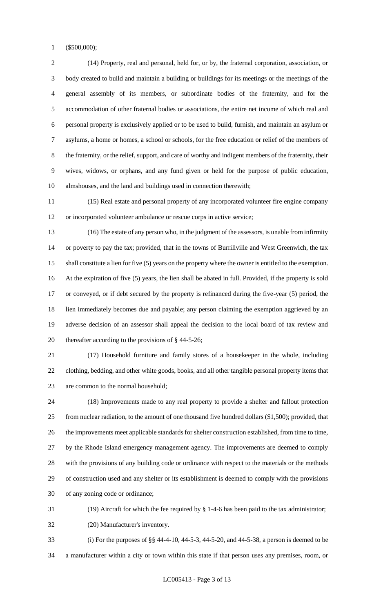(\$500,000);

 (14) Property, real and personal, held for, or by, the fraternal corporation, association, or body created to build and maintain a building or buildings for its meetings or the meetings of the general assembly of its members, or subordinate bodies of the fraternity, and for the accommodation of other fraternal bodies or associations, the entire net income of which real and personal property is exclusively applied or to be used to build, furnish, and maintain an asylum or asylums, a home or homes, a school or schools, for the free education or relief of the members of the fraternity, or the relief, support, and care of worthy and indigent members of the fraternity, their wives, widows, or orphans, and any fund given or held for the purpose of public education, almshouses, and the land and buildings used in connection therewith;

 (15) Real estate and personal property of any incorporated volunteer fire engine company or incorporated volunteer ambulance or rescue corps in active service;

 (16) The estate of any person who, in the judgment of the assessors, is unable from infirmity or poverty to pay the tax; provided, that in the towns of Burrillville and West Greenwich, the tax shall constitute a lien for five (5) years on the property where the owner is entitled to the exemption. At the expiration of five (5) years, the lien shall be abated in full. Provided, if the property is sold or conveyed, or if debt secured by the property is refinanced during the five-year (5) period, the lien immediately becomes due and payable; any person claiming the exemption aggrieved by an adverse decision of an assessor shall appeal the decision to the local board of tax review and thereafter according to the provisions of § 44-5-26;

 (17) Household furniture and family stores of a housekeeper in the whole, including clothing, bedding, and other white goods, books, and all other tangible personal property items that are common to the normal household;

 (18) Improvements made to any real property to provide a shelter and fallout protection from nuclear radiation, to the amount of one thousand five hundred dollars (\$1,500); provided, that the improvements meet applicable standards for shelter construction established, from time to time, by the Rhode Island emergency management agency. The improvements are deemed to comply with the provisions of any building code or ordinance with respect to the materials or the methods of construction used and any shelter or its establishment is deemed to comply with the provisions of any zoning code or ordinance;

(19) Aircraft for which the fee required by § 1-4-6 has been paid to the tax administrator;

(20) Manufacturer's inventory.

 (i) For the purposes of §§ 44-4-10, 44-5-3, 44-5-20, and 44-5-38, a person is deemed to be a manufacturer within a city or town within this state if that person uses any premises, room, or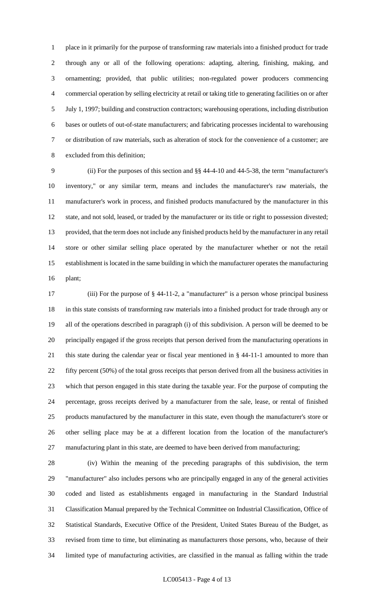place in it primarily for the purpose of transforming raw materials into a finished product for trade through any or all of the following operations: adapting, altering, finishing, making, and ornamenting; provided, that public utilities; non-regulated power producers commencing commercial operation by selling electricity at retail or taking title to generating facilities on or after July 1, 1997; building and construction contractors; warehousing operations, including distribution bases or outlets of out-of-state manufacturers; and fabricating processes incidental to warehousing or distribution of raw materials, such as alteration of stock for the convenience of a customer; are excluded from this definition;

 (ii) For the purposes of this section and §§ 44-4-10 and 44-5-38, the term "manufacturer's inventory," or any similar term, means and includes the manufacturer's raw materials, the manufacturer's work in process, and finished products manufactured by the manufacturer in this state, and not sold, leased, or traded by the manufacturer or its title or right to possession divested; provided, that the term does not include any finished products held by the manufacturer in any retail store or other similar selling place operated by the manufacturer whether or not the retail establishment is located in the same building in which the manufacturer operates the manufacturing plant;

 (iii) For the purpose of § 44-11-2, a "manufacturer" is a person whose principal business in this state consists of transforming raw materials into a finished product for trade through any or all of the operations described in paragraph (i) of this subdivision. A person will be deemed to be principally engaged if the gross receipts that person derived from the manufacturing operations in this state during the calendar year or fiscal year mentioned in § 44-11-1 amounted to more than fifty percent (50%) of the total gross receipts that person derived from all the business activities in which that person engaged in this state during the taxable year. For the purpose of computing the percentage, gross receipts derived by a manufacturer from the sale, lease, or rental of finished products manufactured by the manufacturer in this state, even though the manufacturer's store or other selling place may be at a different location from the location of the manufacturer's manufacturing plant in this state, are deemed to have been derived from manufacturing;

 (iv) Within the meaning of the preceding paragraphs of this subdivision, the term "manufacturer" also includes persons who are principally engaged in any of the general activities coded and listed as establishments engaged in manufacturing in the Standard Industrial Classification Manual prepared by the Technical Committee on Industrial Classification, Office of Statistical Standards, Executive Office of the President, United States Bureau of the Budget, as revised from time to time, but eliminating as manufacturers those persons, who, because of their limited type of manufacturing activities, are classified in the manual as falling within the trade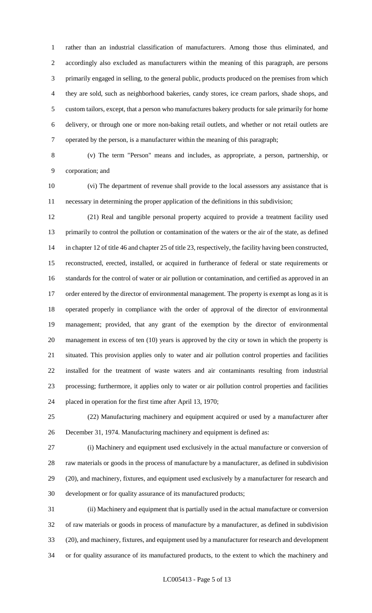rather than an industrial classification of manufacturers. Among those thus eliminated, and accordingly also excluded as manufacturers within the meaning of this paragraph, are persons primarily engaged in selling, to the general public, products produced on the premises from which they are sold, such as neighborhood bakeries, candy stores, ice cream parlors, shade shops, and custom tailors, except, that a person who manufactures bakery products for sale primarily for home delivery, or through one or more non-baking retail outlets, and whether or not retail outlets are operated by the person, is a manufacturer within the meaning of this paragraph;

 (v) The term "Person" means and includes, as appropriate, a person, partnership, or corporation; and

 (vi) The department of revenue shall provide to the local assessors any assistance that is necessary in determining the proper application of the definitions in this subdivision;

 (21) Real and tangible personal property acquired to provide a treatment facility used primarily to control the pollution or contamination of the waters or the air of the state, as defined in chapter 12 of title 46 and chapter 25 of title 23, respectively, the facility having been constructed, reconstructed, erected, installed, or acquired in furtherance of federal or state requirements or standards for the control of water or air pollution or contamination, and certified as approved in an 17 order entered by the director of environmental management. The property is exempt as long as it is operated properly in compliance with the order of approval of the director of environmental management; provided, that any grant of the exemption by the director of environmental management in excess of ten (10) years is approved by the city or town in which the property is situated. This provision applies only to water and air pollution control properties and facilities installed for the treatment of waste waters and air contaminants resulting from industrial processing; furthermore, it applies only to water or air pollution control properties and facilities placed in operation for the first time after April 13, 1970;

 (22) Manufacturing machinery and equipment acquired or used by a manufacturer after December 31, 1974. Manufacturing machinery and equipment is defined as:

 (i) Machinery and equipment used exclusively in the actual manufacture or conversion of raw materials or goods in the process of manufacture by a manufacturer, as defined in subdivision (20), and machinery, fixtures, and equipment used exclusively by a manufacturer for research and development or for quality assurance of its manufactured products;

 (ii) Machinery and equipment that is partially used in the actual manufacture or conversion of raw materials or goods in process of manufacture by a manufacturer, as defined in subdivision (20), and machinery, fixtures, and equipment used by a manufacturer for research and development or for quality assurance of its manufactured products, to the extent to which the machinery and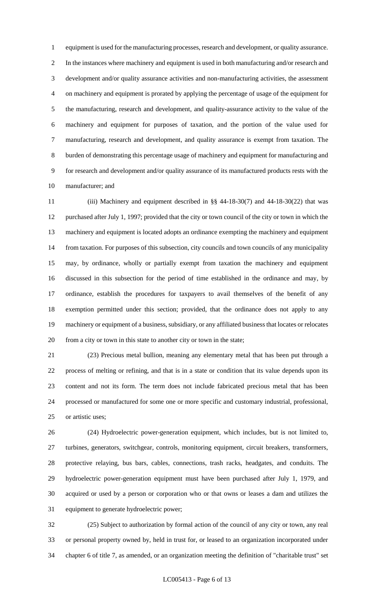equipment is used for the manufacturing processes, research and development, or quality assurance. In the instances where machinery and equipment is used in both manufacturing and/or research and development and/or quality assurance activities and non-manufacturing activities, the assessment on machinery and equipment is prorated by applying the percentage of usage of the equipment for the manufacturing, research and development, and quality-assurance activity to the value of the machinery and equipment for purposes of taxation, and the portion of the value used for manufacturing, research and development, and quality assurance is exempt from taxation. The burden of demonstrating this percentage usage of machinery and equipment for manufacturing and for research and development and/or quality assurance of its manufactured products rests with the manufacturer; and

 (iii) Machinery and equipment described in §§ 44-18-30(7) and 44-18-30(22) that was purchased after July 1, 1997; provided that the city or town council of the city or town in which the machinery and equipment is located adopts an ordinance exempting the machinery and equipment from taxation. For purposes of this subsection, city councils and town councils of any municipality may, by ordinance, wholly or partially exempt from taxation the machinery and equipment discussed in this subsection for the period of time established in the ordinance and may, by ordinance, establish the procedures for taxpayers to avail themselves of the benefit of any exemption permitted under this section; provided, that the ordinance does not apply to any machinery or equipment of a business, subsidiary, or any affiliated business that locates or relocates from a city or town in this state to another city or town in the state;

 (23) Precious metal bullion, meaning any elementary metal that has been put through a process of melting or refining, and that is in a state or condition that its value depends upon its content and not its form. The term does not include fabricated precious metal that has been processed or manufactured for some one or more specific and customary industrial, professional, or artistic uses;

 (24) Hydroelectric power-generation equipment, which includes, but is not limited to, turbines, generators, switchgear, controls, monitoring equipment, circuit breakers, transformers, protective relaying, bus bars, cables, connections, trash racks, headgates, and conduits. The hydroelectric power-generation equipment must have been purchased after July 1, 1979, and acquired or used by a person or corporation who or that owns or leases a dam and utilizes the equipment to generate hydroelectric power;

 (25) Subject to authorization by formal action of the council of any city or town, any real or personal property owned by, held in trust for, or leased to an organization incorporated under chapter 6 of title 7, as amended, or an organization meeting the definition of "charitable trust" set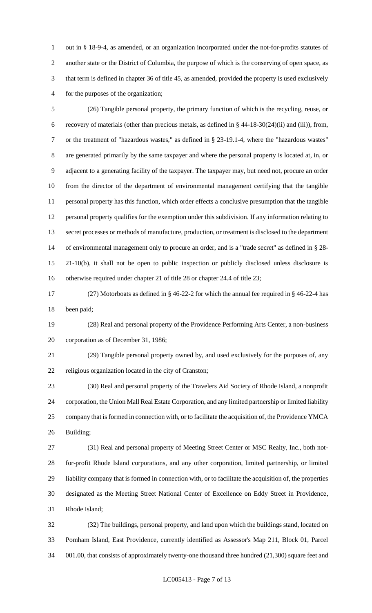out in § 18-9-4, as amended, or an organization incorporated under the not-for-profits statutes of another state or the District of Columbia, the purpose of which is the conserving of open space, as that term is defined in chapter 36 of title 45, as amended, provided the property is used exclusively for the purposes of the organization;

 (26) Tangible personal property, the primary function of which is the recycling, reuse, or recovery of materials (other than precious metals, as defined in § 44-18-30(24)(ii) and (iii)), from, or the treatment of "hazardous wastes," as defined in § 23-19.1-4, where the "hazardous wastes" are generated primarily by the same taxpayer and where the personal property is located at, in, or adjacent to a generating facility of the taxpayer. The taxpayer may, but need not, procure an order from the director of the department of environmental management certifying that the tangible personal property has this function, which order effects a conclusive presumption that the tangible personal property qualifies for the exemption under this subdivision. If any information relating to secret processes or methods of manufacture, production, or treatment is disclosed to the department of environmental management only to procure an order, and is a "trade secret" as defined in § 28- 21-10(b), it shall not be open to public inspection or publicly disclosed unless disclosure is otherwise required under chapter 21 of title 28 or chapter 24.4 of title 23;

 (27) Motorboats as defined in § 46-22-2 for which the annual fee required in § 46-22-4 has been paid;

 (28) Real and personal property of the Providence Performing Arts Center, a non-business corporation as of December 31, 1986;

 (29) Tangible personal property owned by, and used exclusively for the purposes of, any religious organization located in the city of Cranston;

 (30) Real and personal property of the Travelers Aid Society of Rhode Island, a nonprofit corporation, the Union Mall Real Estate Corporation, and any limited partnership or limited liability company that is formed in connection with, or to facilitate the acquisition of, the Providence YMCA Building;

 (31) Real and personal property of Meeting Street Center or MSC Realty, Inc., both not- for-profit Rhode Island corporations, and any other corporation, limited partnership, or limited liability company that is formed in connection with, or to facilitate the acquisition of, the properties designated as the Meeting Street National Center of Excellence on Eddy Street in Providence, Rhode Island;

 (32) The buildings, personal property, and land upon which the buildings stand, located on Pomham Island, East Providence, currently identified as Assessor's Map 211, Block 01, Parcel 001.00, that consists of approximately twenty-one thousand three hundred (21,300) square feet and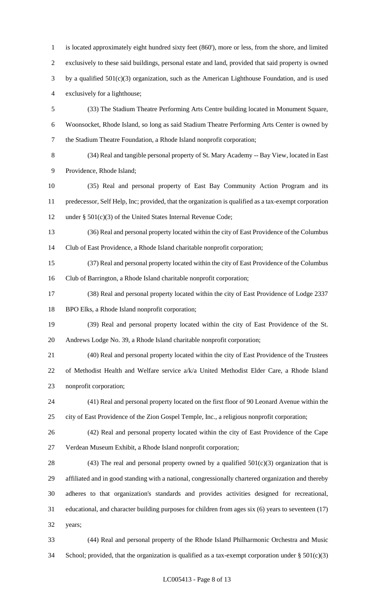is located approximately eight hundred sixty feet (860'), more or less, from the shore, and limited exclusively to these said buildings, personal estate and land, provided that said property is owned by a qualified 501(c)(3) organization, such as the American Lighthouse Foundation, and is used exclusively for a lighthouse; (33) The Stadium Theatre Performing Arts Centre building located in Monument Square, Woonsocket, Rhode Island, so long as said Stadium Theatre Performing Arts Center is owned by the Stadium Theatre Foundation, a Rhode Island nonprofit corporation;

 (34) Real and tangible personal property of St. Mary Academy -- Bay View, located in East Providence, Rhode Island;

 (35) Real and personal property of East Bay Community Action Program and its predecessor, Self Help, Inc; provided, that the organization is qualified as a tax-exempt corporation under § 501(c)(3) of the United States Internal Revenue Code;

 (36) Real and personal property located within the city of East Providence of the Columbus Club of East Providence, a Rhode Island charitable nonprofit corporation;

 (37) Real and personal property located within the city of East Providence of the Columbus Club of Barrington, a Rhode Island charitable nonprofit corporation;

 (38) Real and personal property located within the city of East Providence of Lodge 2337 BPO Elks, a Rhode Island nonprofit corporation;

 (39) Real and personal property located within the city of East Providence of the St. Andrews Lodge No. 39, a Rhode Island charitable nonprofit corporation;

 (40) Real and personal property located within the city of East Providence of the Trustees of Methodist Health and Welfare service a/k/a United Methodist Elder Care, a Rhode Island nonprofit corporation;

 (41) Real and personal property located on the first floor of 90 Leonard Avenue within the city of East Providence of the Zion Gospel Temple, Inc., a religious nonprofit corporation;

 (42) Real and personal property located within the city of East Providence of the Cape Verdean Museum Exhibit, a Rhode Island nonprofit corporation;

28 (43) The real and personal property owned by a qualified  $501(c)(3)$  organization that is affiliated and in good standing with a national, congressionally chartered organization and thereby adheres to that organization's standards and provides activities designed for recreational, educational, and character building purposes for children from ages six (6) years to seventeen (17) years;

 (44) Real and personal property of the Rhode Island Philharmonic Orchestra and Music 34 School; provided, that the organization is qualified as a tax-exempt corporation under  $\S 501(c)(3)$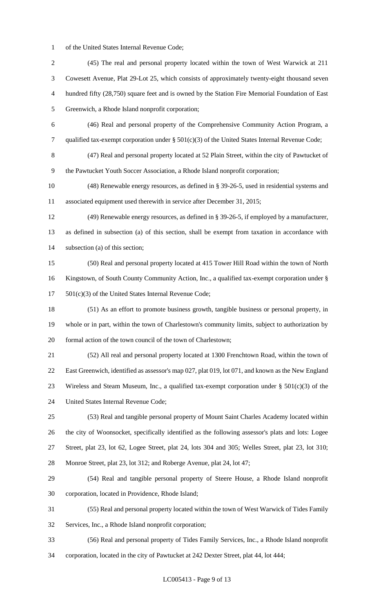of the United States Internal Revenue Code;

 (45) The real and personal property located within the town of West Warwick at 211 Cowesett Avenue, Plat 29-Lot 25, which consists of approximately twenty-eight thousand seven hundred fifty (28,750) square feet and is owned by the Station Fire Memorial Foundation of East Greenwich, a Rhode Island nonprofit corporation; (46) Real and personal property of the Comprehensive Community Action Program, a qualified tax-exempt corporation under § 501(c)(3) of the United States Internal Revenue Code; (47) Real and personal property located at 52 Plain Street, within the city of Pawtucket of the Pawtucket Youth Soccer Association, a Rhode Island nonprofit corporation; (48) Renewable energy resources, as defined in § 39-26-5, used in residential systems and associated equipment used therewith in service after December 31, 2015; (49) Renewable energy resources, as defined in § 39-26-5, if employed by a manufacturer, as defined in subsection (a) of this section, shall be exempt from taxation in accordance with subsection (a) of this section; (50) Real and personal property located at 415 Tower Hill Road within the town of North Kingstown, of South County Community Action, Inc., a qualified tax-exempt corporation under § 501(c)(3) of the United States Internal Revenue Code; (51) As an effort to promote business growth, tangible business or personal property, in whole or in part, within the town of Charlestown's community limits, subject to authorization by formal action of the town council of the town of Charlestown; (52) All real and personal property located at 1300 Frenchtown Road, within the town of East Greenwich, identified as assessor's map 027, plat 019, lot 071, and known as the New England 23 Wireless and Steam Museum, Inc., a qualified tax-exempt corporation under  $\S 501(c)(3)$  of the United States Internal Revenue Code; (53) Real and tangible personal property of Mount Saint Charles Academy located within the city of Woonsocket, specifically identified as the following assessor's plats and lots: Logee Street, plat 23, lot 62, Logee Street, plat 24, lots 304 and 305; Welles Street, plat 23, lot 310; Monroe Street, plat 23, lot 312; and Roberge Avenue, plat 24, lot 47; (54) Real and tangible personal property of Steere House, a Rhode Island nonprofit corporation, located in Providence, Rhode Island; (55) Real and personal property located within the town of West Warwick of Tides Family Services, Inc., a Rhode Island nonprofit corporation; (56) Real and personal property of Tides Family Services, Inc., a Rhode Island nonprofit corporation, located in the city of Pawtucket at 242 Dexter Street, plat 44, lot 444;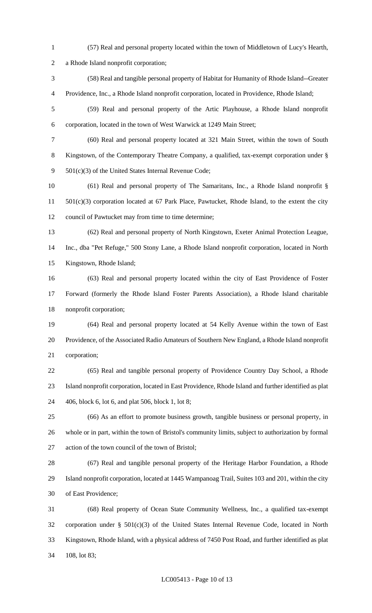- (57) Real and personal property located within the town of Middletown of Lucy's Hearth, a Rhode Island nonprofit corporation; (58) Real and tangible personal property of Habitat for Humanity of Rhode Island--Greater Providence, Inc., a Rhode Island nonprofit corporation, located in Providence, Rhode Island; (59) Real and personal property of the Artic Playhouse, a Rhode Island nonprofit corporation, located in the town of West Warwick at 1249 Main Street; (60) Real and personal property located at 321 Main Street, within the town of South Kingstown, of the Contemporary Theatre Company, a qualified, tax-exempt corporation under § 501(c)(3) of the United States Internal Revenue Code; (61) Real and personal property of The Samaritans, Inc., a Rhode Island nonprofit § 501(c)(3) corporation located at 67 Park Place, Pawtucket, Rhode Island, to the extent the city council of Pawtucket may from time to time determine; (62) Real and personal property of North Kingstown, Exeter Animal Protection League, Inc., dba "Pet Refuge," 500 Stony Lane, a Rhode Island nonprofit corporation, located in North Kingstown, Rhode Island; (63) Real and personal property located within the city of East Providence of Foster Forward (formerly the Rhode Island Foster Parents Association), a Rhode Island charitable nonprofit corporation; (64) Real and personal property located at 54 Kelly Avenue within the town of East Providence, of the Associated Radio Amateurs of Southern New England, a Rhode Island nonprofit corporation; (65) Real and tangible personal property of Providence Country Day School, a Rhode Island nonprofit corporation, located in East Providence, Rhode Island and further identified as plat 406, block 6, lot 6, and plat 506, block 1, lot 8; (66) As an effort to promote business growth, tangible business or personal property, in whole or in part, within the town of Bristol's community limits, subject to authorization by formal action of the town council of the town of Bristol; (67) Real and tangible personal property of the Heritage Harbor Foundation, a Rhode Island nonprofit corporation, located at 1445 Wampanoag Trail, Suites 103 and 201, within the city of East Providence; (68) Real property of Ocean State Community Wellness, Inc., a qualified tax-exempt corporation under § 501(c)(3) of the United States Internal Revenue Code, located in North Kingstown, Rhode Island, with a physical address of 7450 Post Road, and further identified as plat
- 108, lot 83;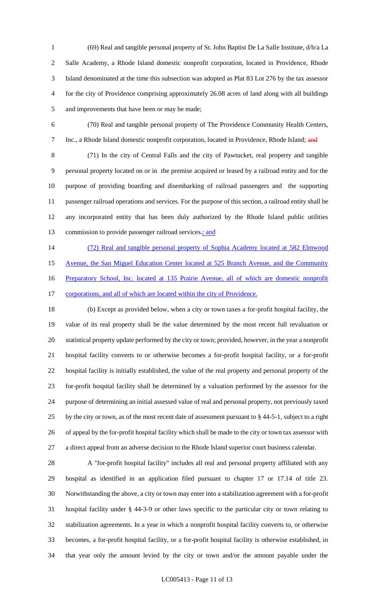(69) Real and tangible personal property of St. John Baptist De La Salle Institute, d/b/a La Salle Academy, a Rhode Island domestic nonprofit corporation, located in Providence, Rhode Island denominated at the time this subsection was adopted as Plat 83 Lot 276 by the tax assessor for the city of Providence comprising approximately 26.08 acres of land along with all buildings and improvements that have been or may be made;

 (70) Real and tangible personal property of The Providence Community Health Centers, 7 Inc., a Rhode Island domestic nonprofit corporation, located in Providence, Rhode Island; and

 (71) In the city of Central Falls and the city of Pawtucket, real property and tangible personal property located on or in the premise acquired or leased by a railroad entity and for the purpose of providing boarding and disembarking of railroad passengers and the supporting passenger railroad operations and services. For the purpose of this section, a railroad entity shall be any incorporated entity that has been duly authorized by the Rhode Island public utilities 13 commission to provide passenger railroad services-; and

(72) Real and tangible personal property of Sophia Academy located at 582 Elmwood

15 Avenue, the San Miguel Education Center located at 525 Branch Avenue, and the Community

16 Preparatory School, Inc. located at 135 Prairie Avenue, all of which are domestic nonprofit 17 corporations, and all of which are located within the city of Providence.

 (b) Except as provided below, when a city or town taxes a for-profit hospital facility, the value of its real property shall be the value determined by the most recent full revaluation or statistical property update performed by the city or town; provided, however, in the year a nonprofit hospital facility converts to or otherwise becomes a for-profit hospital facility, or a for-profit hospital facility is initially established, the value of the real property and personal property of the for-profit hospital facility shall be determined by a valuation performed by the assessor for the purpose of determining an initial assessed value of real and personal property, not previously taxed by the city or town, as of the most recent date of assessment pursuant to § 44-5-1, subject to a right of appeal by the for-profit hospital facility which shall be made to the city or town tax assessor with a direct appeal from an adverse decision to the Rhode Island superior court business calendar.

 A "for-profit hospital facility" includes all real and personal property affiliated with any hospital as identified in an application filed pursuant to chapter 17 or 17.14 of title 23. Notwithstanding the above, a city or town may enter into a stabilization agreement with a for-profit hospital facility under § 44-3-9 or other laws specific to the particular city or town relating to stabilization agreements. In a year in which a nonprofit hospital facility converts to, or otherwise becomes, a for-profit hospital facility, or a for-profit hospital facility is otherwise established, in that year only the amount levied by the city or town and/or the amount payable under the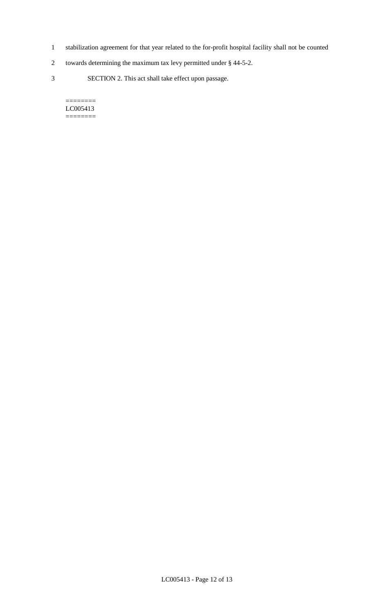- 1 stabilization agreement for that year related to the for-profit hospital facility shall not be counted
- 2 towards determining the maximum tax levy permitted under § 44-5-2.
- 3 SECTION 2. This act shall take effect upon passage.

#### $=$ LC005413 ========